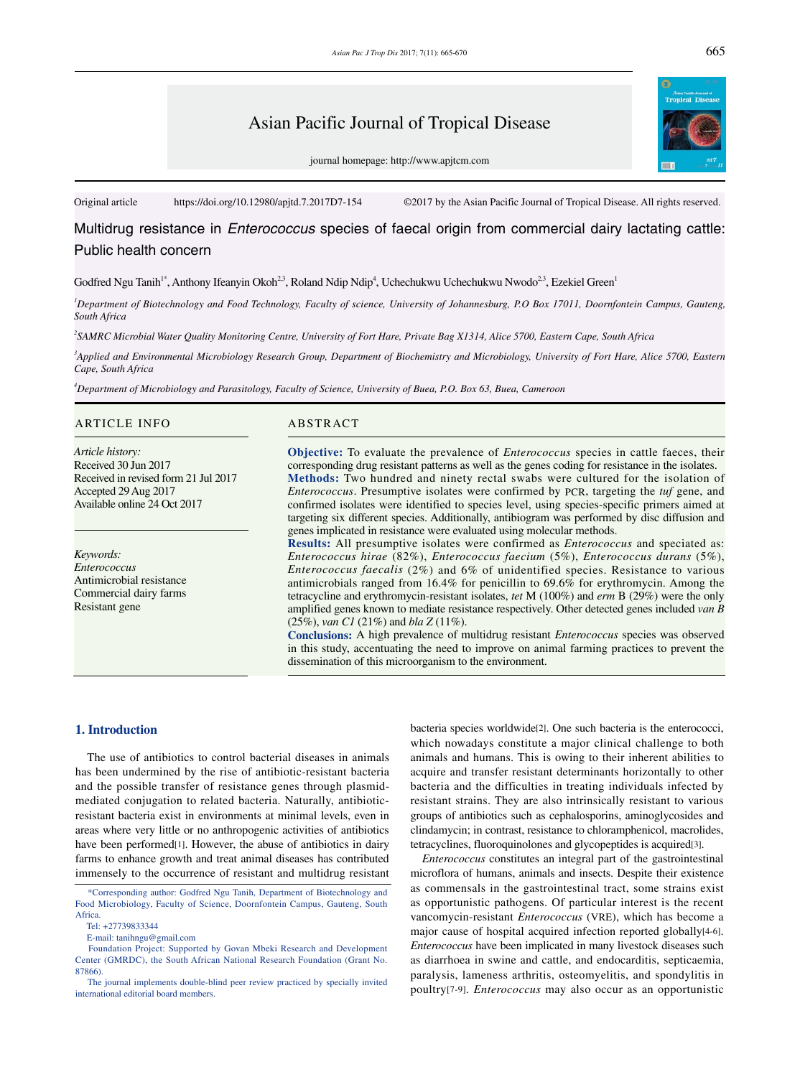# Asian Pacific Journal of Tropical Disease

journal homepage: http://www.apjtcm.com

Original article https://doi.org/10.12980/apjtd.7.2017D7-154 ©2017 by the Asian Pacific Journal of Tropical Disease. All rights reserved.

Multidrug resistance in *Enterococcus* species of faecal origin from commercial dairy lactating cattle: Public health concern

Godfred Ngu Tanih<sup>1\*</sup>, Anthony Ifeanyin Okoh<sup>2.3</sup>, Roland Ndip Ndip<sup>4</sup>, Uchechukwu Uchechukwu Nwodo<sup>2.3</sup>, Ezekiel Green<sup>1</sup>

*1 Department of Biotechnology and Food Technology, Faculty of science, University of Johannesburg, P.O Box 17011, Doornfontein Campus, Gauteng, South Africa*

*2 SAMRC Microbial Water Quality Monitoring Centre, University of Fort Hare, Private Bag X1314, Alice 5700, Eastern Cape, South Africa*

*3 Applied and Environmental Microbiology Research Group, Department of Biochemistry and Microbiology, University of Fort Hare, Alice 5700, Eastern Cape, South Africa*

*4 Department of Microbiology and Parasitology, Faculty of Science, University of Buea, P.O. Box 63, Buea, Cameroon* 

#### ARTICLE INFO ABSTRACT

*Article history:* Received 30 Jun 2017 Received in revised form 21 Jul 2017 Accepted 29 Aug 2017 Available online 24 Oct 2017

*Keywords: Enterococcus* Antimicrobial resistance Commercial dairy farms Resistant gene

**Objective:** To evaluate the prevalence of *Enterococcus* species in cattle faeces, their corresponding drug resistant patterns as well as the genes coding for resistance in the isolates. **Methods:** Two hundred and ninety rectal swabs were cultured for the isolation of *Enterococcus*. Presumptive isolates were confirmed by PCR, targeting the *tuf* gene, and confirmed isolates were identified to species level, using species-specific primers aimed at targeting six different species. Additionally, antibiogram was performed by disc diffusion and genes implicated in resistance were evaluated using molecular methods.

**Results:** All presumptive isolates were confirmed as *Enterococcus* and speciated as: *Enterococcus hirae* (82%), *Enterococcus faecium* (5%), *Enterococcus durans* (5%), *Enterococcus faecalis* (2%) and 6% of unidentified species. Resistance to various antimicrobials ranged from 16.4% for penicillin to 69.6% for erythromycin. Among the tetracycline and erythromycin-resistant isolates, *tet* M (100%) and *erm* B (29%) were the only amplified genes known to mediate resistance respectively. Other detected genes included *van B* (25%), *van C1* (21%) and *bla Z* (11%).

**Conclusions:** A high prevalence of multidrug resistant *Enterococcus* species was observed in this study, accentuating the need to improve on animal farming practices to prevent the dissemination of this microorganism to the environment.

# **1. Introduction**

 The use of antibiotics to control bacterial diseases in animals has been undermined by the rise of antibiotic-resistant bacteria and the possible transfer of resistance genes through plasmidmediated conjugation to related bacteria. Naturally, antibioticresistant bacteria exist in environments at minimal levels, even in areas where very little or no anthropogenic activities of antibiotics have been performed[1]. However, the abuse of antibiotics in dairy farms to enhance growth and treat animal diseases has contributed immensely to the occurrence of resistant and multidrug resistant

E-mail: tanihngu@gmail.com

bacteria species worldwide[2]. One such bacteria is the enterococci, which nowadays constitute a major clinical challenge to both animals and humans. This is owing to their inherent abilities to acquire and transfer resistant determinants horizontally to other bacteria and the difficulties in treating individuals infected by resistant strains. They are also intrinsically resistant to various groups of antibiotics such as cephalosporins, aminoglycosides and clindamycin; in contrast, resistance to chloramphenicol, macrolides, tetracyclines, fluoroquinolones and glycopeptides is acquired[3].

 *Enterococcus* constitutes an integral part of the gastrointestinal microflora of humans, animals and insects. Despite their existence as commensals in the gastrointestinal tract, some strains exist as opportunistic pathogens. Of particular interest is the recent vancomycin-resistant *Enterococcus* (VRE), which has become a major cause of hospital acquired infection reported globally[4-6]. *Enterococcus* have been implicated in many livestock diseases such as diarrhoea in swine and cattle, and endocarditis, septicaemia, paralysis, lameness arthritis, osteomyelitis, and spondylitis in poultry[7-9]. *Enterococcus* may also occur as an opportunistic

 <sup>\*</sup>Corresponding author: Godfred Ngu Tanih, Department of Biotechnology and Food Microbiology, Faculty of Science, Doornfontein Campus, Gauteng, South Africa.

Tel: +27739833344

Foundation Project: Supported by Govan Mbeki Research and Development Center (GMRDC), the South African National Research Foundation (Grant No. 87866).

The journal implements double-blind peer review practiced by specially invited international editorial board members.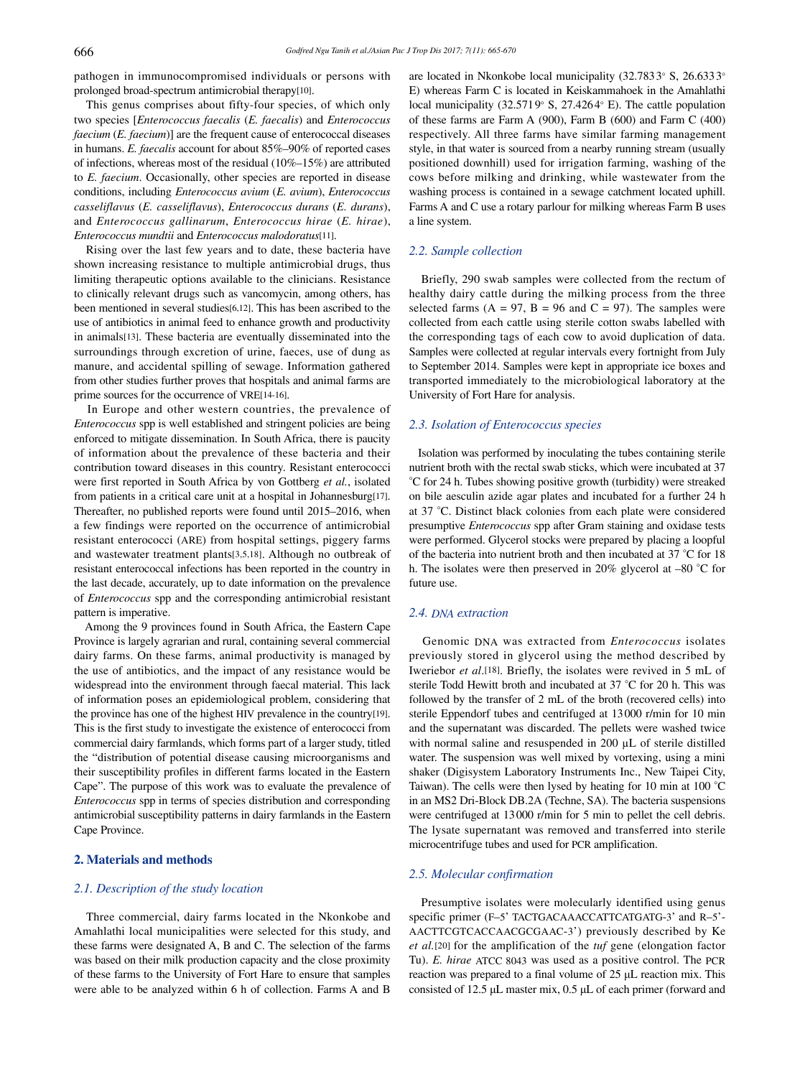pathogen in immunocompromised individuals or persons with prolonged broad-spectrum antimicrobial therapy[10].

 This genus comprises about fifty-four species, of which only two species [*Enterococcus faecalis* (*E. faecalis*) and *Enterococcus faecium* (*E. faecium*)] are the frequent cause of enterococcal diseases in humans. *E. faecalis* account for about 85%–90% of reported cases of infections, whereas most of the residual (10%–15%) are attributed to *E. faecium*. Occasionally, other species are reported in disease conditions, including *Enterococcus avium* (*E. avium*), *Enterococcus casseliflavus* (*E. casseliflavus*), *Enterococcus durans* (*E. durans*), and *Enterococcus gallinarum*, *Enterococcus hirae* (*E. hirae*), *Enterococcus mundtii* and *Enterococcus malodoratus*[11].

 Rising over the last few years and to date, these bacteria have shown increasing resistance to multiple antimicrobial drugs, thus limiting therapeutic options available to the clinicians. Resistance to clinically relevant drugs such as vancomycin, among others, has been mentioned in several studies[6,12]. This has been ascribed to the use of antibiotics in animal feed to enhance growth and productivity in animals[13]. These bacteria are eventually disseminated into the surroundings through excretion of urine, faeces, use of dung as manure, and accidental spilling of sewage. Information gathered from other studies further proves that hospitals and animal farms are prime sources for the occurrence of VRE[14-16].

 In Europe and other western countries, the prevalence of *Enterococcus* spp is well established and stringent policies are being enforced to mitigate dissemination. In South Africa, there is paucity of information about the prevalence of these bacteria and their contribution toward diseases in this country. Resistant enterococci were first reported in South Africa by von Gottberg *et al.*, isolated from patients in a critical care unit at a hospital in Johannesburg[17]. Thereafter, no published reports were found until 2015–2016, when a few findings were reported on the occurrence of antimicrobial resistant enterococci (ARE) from hospital settings, piggery farms and wastewater treatment plants[3,5,18]. Although no outbreak of resistant enterococcal infections has been reported in the country in the last decade, accurately, up to date information on the prevalence of *Enterococcus* spp and the corresponding antimicrobial resistant pattern is imperative.

 Among the 9 provinces found in South Africa, the Eastern Cape Province is largely agrarian and rural, containing several commercial dairy farms. On these farms, animal productivity is managed by the use of antibiotics, and the impact of any resistance would be widespread into the environment through faecal material. This lack of information poses an epidemiological problem, considering that the province has one of the highest HIV prevalence in the country[19]. This is the first study to investigate the existence of enterococci from commercial dairy farmlands, which forms part of a larger study, titled the "distribution of potential disease causing microorganisms and their susceptibility profiles in different farms located in the Eastern Cape". The purpose of this work was to evaluate the prevalence of *Enterococcus* spp in terms of species distribution and corresponding antimicrobial susceptibility patterns in dairy farmlands in the Eastern Cape Province.

# **2. Materials and methods**

#### *2.1. Description of the study location*

 Three commercial, dairy farms located in the Nkonkobe and Amahlathi local municipalities were selected for this study, and these farms were designated A, B and C. The selection of the farms was based on their milk production capacity and the close proximity of these farms to the University of Fort Hare to ensure that samples were able to be analyzed within 6 h of collection. Farms A and B

are located in Nkonkobe local municipality (32.7833° S, 26.6333° E) whereas Farm C is located in Keiskammahoek in the Amahlathi local municipality (32.5719° S, 27.4264° E). The cattle population of these farms are Farm A (900), Farm B (600) and Farm C (400) respectively. All three farms have similar farming management style, in that water is sourced from a nearby running stream (usually positioned downhill) used for irrigation farming, washing of the cows before milking and drinking, while wastewater from the washing process is contained in a sewage catchment located uphill. Farms A and C use a rotary parlour for milking whereas Farm B uses a line system.

#### *2.2. Sample collection*

 Briefly, 290 swab samples were collected from the rectum of healthy dairy cattle during the milking process from the three selected farms  $(A = 97, B = 96 \text{ and } C = 97)$ . The samples were collected from each cattle using sterile cotton swabs labelled with the corresponding tags of each cow to avoid duplication of data. Samples were collected at regular intervals every fortnight from July to September 2014. Samples were kept in appropriate ice boxes and transported immediately to the microbiological laboratory at the University of Fort Hare for analysis.

#### *2.3. Isolation of Enterococcus species*

 Isolation was performed by inoculating the tubes containing sterile nutrient broth with the rectal swab sticks, which were incubated at 37 °C for 24 h. Tubes showing positive growth (turbidity) were streaked on bile aesculin azide agar plates and incubated for a further 24 h at 37 °C. Distinct black colonies from each plate were considered presumptive *Enterococcus* spp after Gram staining and oxidase tests were performed. Glycerol stocks were prepared by placing a loopful of the bacteria into nutrient broth and then incubated at 37 °C for 18 h. The isolates were then preserved in 20% glycerol at –80 °C for future use.

# *2.4. DNA extraction*

 Genomic DNA was extracted from *Enterococcus* isolates previously stored in glycerol using the method described by Iweriebor *et al*.[18]. Briefly, the isolates were revived in 5 mL of sterile Todd Hewitt broth and incubated at 37 °C for 20 h. This was followed by the transfer of 2 mL of the broth (recovered cells) into sterile Eppendorf tubes and centrifuged at 13000 r/min for 10 min and the supernatant was discarded. The pellets were washed twice with normal saline and resuspended in 200  $\mu$ L of sterile distilled water. The suspension was well mixed by vortexing, using a mini shaker (Digisystem Laboratory Instruments Inc., New Taipei City, Taiwan). The cells were then lysed by heating for 10 min at 100 °C in an MS2 Dri-Block DB.2A (Techne, SA). The bacteria suspensions were centrifuged at 13000 r/min for 5 min to pellet the cell debris. The lysate supernatant was removed and transferred into sterile microcentrifuge tubes and used for PCR amplification.

#### *2.5. Molecular confirmation*

 Presumptive isolates were molecularly identified using genus specific primer (F–5' TACTGACAAACCATTCATGATG-3' and R–5'- AACTTCGTCACCAACGCGAAC-3') previously described by Ke *et al.*[20] for the amplification of the *tuf* gene (elongation factor Tu). *E. hirae* ATCC 8043 was used as a positive control. The PCR reaction was prepared to a final volume of 25 μL reaction mix. This consisted of 12.5 μL master mix, 0.5 μL of each primer (forward and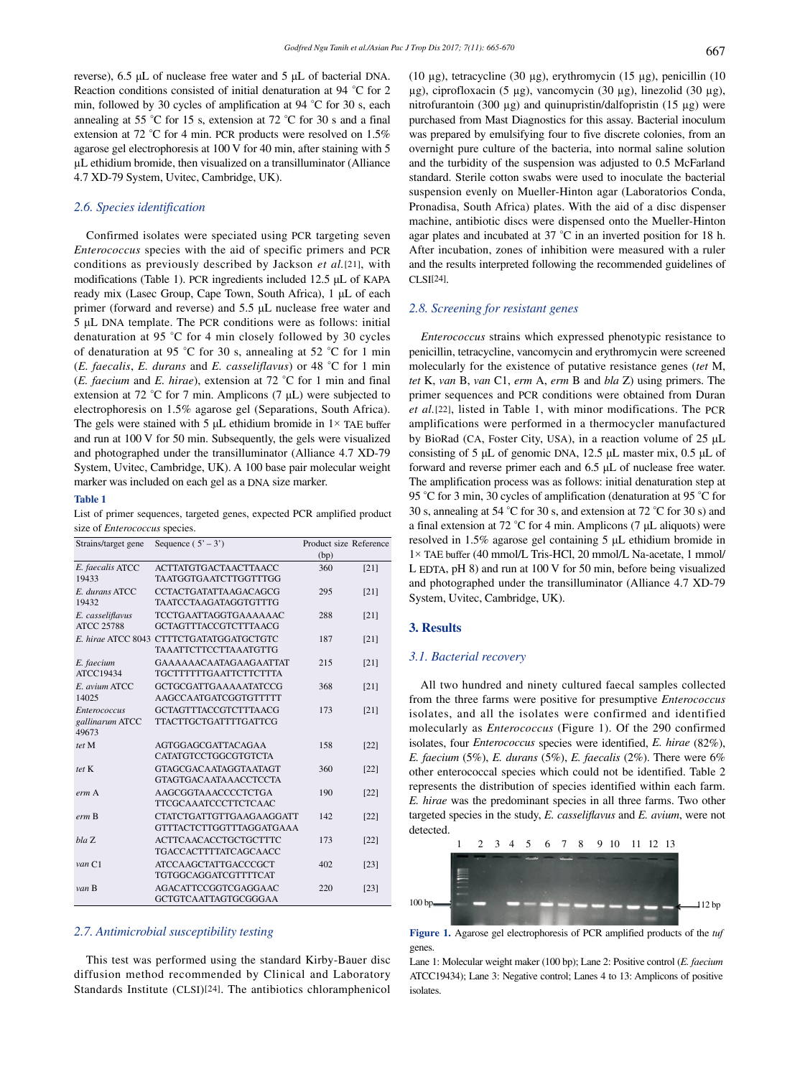reverse), 6.5 μL of nuclease free water and 5 μL of bacterial DNA. Reaction conditions consisted of initial denaturation at 94 °C for 2 min, followed by 30 cycles of amplification at 94 °C for 30 s, each annealing at 55 °C for 15 s, extension at 72 °C for 30 s and a final extension at 72 °C for 4 min. PCR products were resolved on 1.5% agarose gel electrophoresis at 100 V for 40 min, after staining with 5 µL ethidium bromide, then visualized on a transilluminator (Alliance 4.7 XD-79 System, Uvitec, Cambridge, UK).

# *2.6. Species identification*

 Confirmed isolates were speciated using PCR targeting seven *Enterococcus* species with the aid of specific primers and PCR conditions as previously described by Jackson *et al.*[21], with modifications (Table 1). PCR ingredients included 12.5 μL of KAPA ready mix (Lasec Group, Cape Town, South Africa), 1 μL of each primer (forward and reverse) and 5.5 μL nuclease free water and 5 μL DNA template. The PCR conditions were as follows: initial denaturation at 95 °C for 4 min closely followed by 30 cycles of denaturation at 95 °C for 30 s, annealing at 52 °C for 1 min (*E. faecalis*, *E. durans* and *E. casseliflavus*) or 48 °C for 1 min (*E. faecium* and *E. hirae*), extension at 72 °C for 1 min and final extension at 72 °C for 7 min. Amplicons (7 μL) were subjected to electrophoresis on 1.5% agarose gel (Separations, South Africa). The gels were stained with 5  $\mu$ L ethidium bromide in 1× TAE buffer and run at 100 V for 50 min. Subsequently, the gels were visualized and photographed under the transilluminator (Alliance 4.7 XD-79 System, Uvitec, Cambridge, UK). A 100 base pair molecular weight marker was included on each gel as a DNA size marker.

#### **Table 1**

List of primer sequences, targeted genes, expected PCR amplified product size of *Enterococcus* species.

| Strains/target gene                             | Sequence $(5' - 3')$                                                     | Product size Reference |        |
|-------------------------------------------------|--------------------------------------------------------------------------|------------------------|--------|
|                                                 |                                                                          | (bp)                   |        |
| E. faecalis ATCC<br>19433                       | <b>ACTTATGTGACTAACTTAACC</b><br><b>TAATGGTGAATCTTGGTTTGG</b>             | 360                    | $[21]$ |
| E. durans ATCC<br>19432                         | CCTACTGATATTA AGACAGCG<br>TA ATCCTA AGATAGGTGTTTG                        | 295                    | [21]   |
| E. casseliflavus<br><b>ATCC 25788</b>           | <b>TCCTGAATTAGGTGAAAAAAC</b><br><b>GCTAGTTTACCGTCTTTAACG</b>             | 288                    | [21]   |
|                                                 | E. hirae ATCC 8043 CTTTCTGATATGGATGCTGTC<br><b>TAAATTCTTCCTTAAATGTTG</b> | 187                    | $[21]$ |
| E. faecium<br>ATCC19434                         | GAAAAAACAATAGAAGAATTAT<br><b>TGCTTTTTTGAATTCTTCTTTA</b>                  | 215                    | [21]   |
| E. avium ATCC<br>14025                          | <b>GCTGCGATTGAAAAATATCCG</b><br>AAGCCAATGATCGGTGTTTTT                    | 368                    | [21]   |
| <b>Enterococcus</b><br>gallinarum ATCC<br>49673 | <b>GCTAGTTTACCGTCTTTAACG</b><br><b>TTACTTGCTGATTTTGATTCG</b>             | 173                    | [21]   |
| tet M                                           | <b>AGTGGAGCGATTACAGAA</b><br>CATATGTCCTGGCGTGTCTA                        | 158                    | $[22]$ |
| tet K                                           | GTAGCGACA ATAGGTA ATAGT<br><b>GTAGTGACAATAAACCTCCTA</b>                  | 360                    | [22]   |
| erm A                                           | AAGCGGTAAACCCCTCTGA<br><b>TTCGCAAATCCCTTCTCAAC</b>                       | 190                    | [22]   |
| erm B                                           | CTATCTGATTGTTGAAGAAGGATT<br><b>GTTTACTCTTGGTTTAGGATGAAA</b>              | 142                    | $[22]$ |
| bla Z                                           | <b>ACTTCAACACCTGCTGCTTTC</b><br>TGACCACTTTTATCAGCAACC                    | 173                    | $[22]$ |
| van C1                                          | <b>ATCCAAGCTATTGACCCGCT</b><br>TGTGGCAGGATCGTTTTCAT                      | 402                    | $[23]$ |
| van B                                           | <b>AGACATTCCGGTCGAGGAAC</b><br><b>GCTGTCAATTAGTGCGGGAA</b>               | 220                    | $[23]$ |

#### *2.7. Antimicrobial susceptibility testing*

 This test was performed using the standard Kirby-Bauer disc diffusion method recommended by Clinical and Laboratory Standards Institute (CLSI)[24]. The antibiotics chloramphenicol (10 µg), tetracycline (30 µg), erythromycin (15 µg), penicillin (10 µg), ciprofloxacin (5 µg), vancomycin (30 µg), linezolid (30 µg), nitrofurantoin (300 µg) and quinupristin/dalfopristin (15 µg) were purchased from Mast Diagnostics for this assay. Bacterial inoculum was prepared by emulsifying four to five discrete colonies, from an overnight pure culture of the bacteria, into normal saline solution and the turbidity of the suspension was adjusted to 0.5 McFarland standard. Sterile cotton swabs were used to inoculate the bacterial suspension evenly on Mueller-Hinton agar (Laboratorios Conda, Pronadisa, South Africa) plates. With the aid of a disc dispenser machine, antibiotic discs were dispensed onto the Mueller-Hinton agar plates and incubated at 37 °C in an inverted position for 18 h. After incubation, zones of inhibition were measured with a ruler and the results interpreted following the recommended guidelines of CLSI[24].

# *2.8. Screening for resistant genes*

 *Enterococcus* strains which expressed phenotypic resistance to penicillin, tetracycline, vancomycin and erythromycin were screened molecularly for the existence of putative resistance genes (*tet* M, *tet* K, *van* B, *van* C1, *erm* A, *erm* B and *bla* Z) using primers. The primer sequences and PCR conditions were obtained from Duran *et al.*[22], listed in Table 1, with minor modifications. The PCR amplifications were performed in a thermocycler manufactured by BioRad (CA, Foster City, USA), in a reaction volume of 25 μL consisting of 5 μL of genomic DNA, 12.5 μL master mix, 0.5 μL of forward and reverse primer each and 6.5 μL of nuclease free water. The amplification process was as follows: initial denaturation step at 95 °C for 3 min, 30 cycles of amplification (denaturation at 95 °C for 30 s, annealing at 54 °C for 30 s, and extension at 72 °C for 30 s) and a final extension at 72 °C for 4 min. Amplicons (7 μL aliquots) were resolved in 1.5% agarose gel containing 5 μL ethidium bromide in 1× TAE buffer (40 mmol/L Tris-HCl, 20 mmol/L Na-acetate, 1 mmol/ L EDTA, pH 8) and run at 100 V for 50 min, before being visualized and photographed under the transilluminator (Alliance 4.7 XD-79 System, Uvitec, Cambridge, UK).

#### **3. Results**

#### *3.1. Bacterial recovery*

 All two hundred and ninety cultured faecal samples collected from the three farms were positive for presumptive *Enterococcus* isolates, and all the isolates were confirmed and identified molecularly as *Enterococcus* (Figure 1). Of the 290 confirmed isolates, four *Enterococcus* species were identified, *E. hirae* (82%), *E. faecium* (5%), *E. durans* (5%), *E. faecalis* (2%). There were 6% other enterococcal species which could not be identified. Table 2 represents the distribution of species identified within each farm. *E. hirae* was the predominant species in all three farms. Two other targeted species in the study, *E. casseliflavus* and *E. avium*, were not detected.



**Figure 1.** Agarose gel electrophoresis of PCR amplified products of the *tuf* genes.

Lane 1: Molecular weight maker (100 bp); Lane 2: Positive control (*E. faecium* ATCC19434); Lane 3: Negative control; Lanes 4 to 13: Amplicons of positive isolates.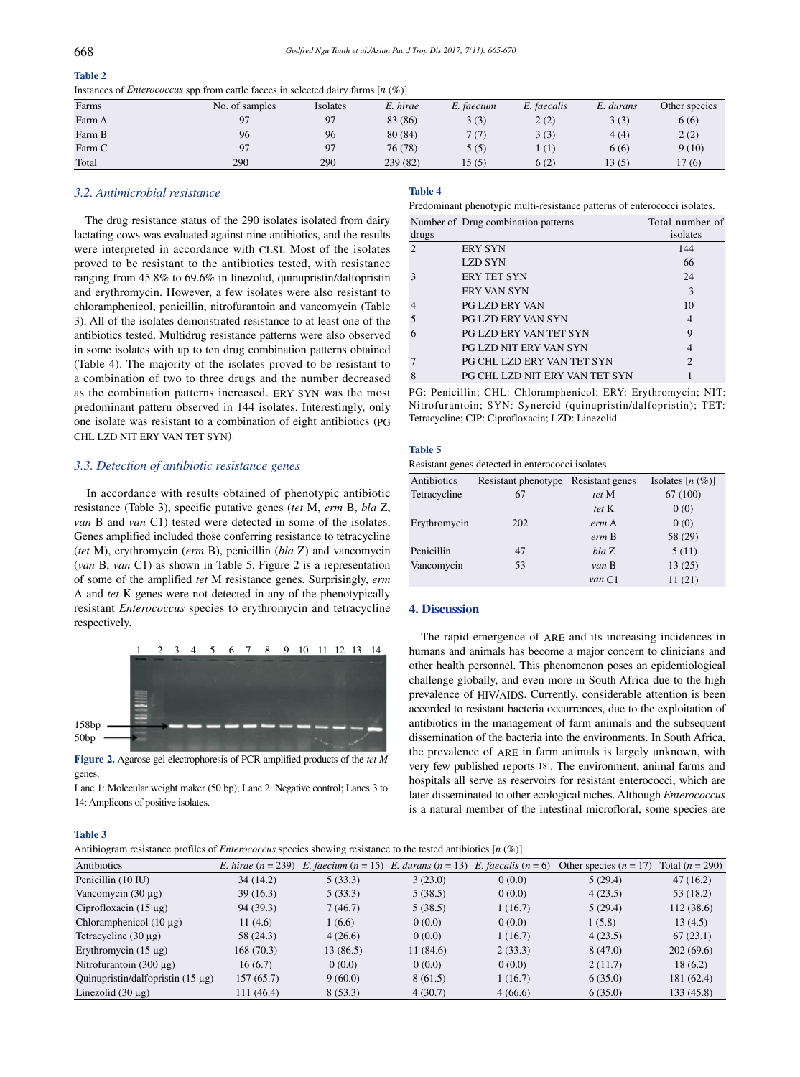# **Table 2**

| -------                                                                                 |  |  |
|-----------------------------------------------------------------------------------------|--|--|
| Instances of <i>Enterococcus</i> spp from cattle faeces in selected dairy farms [n (%)] |  |  |

|        |                |          | .        |            |             |           |               |
|--------|----------------|----------|----------|------------|-------------|-----------|---------------|
| Farms  | No. of samples | Isolates | E. hirae | E. faecium | E. faecalis | E. durans | Other species |
| Farm A | 97             | 97       | 83 (86)  | 3(3)       | 2(2)        | 3(3)      | 6(6)          |
| Farm B | 96             | 96       | 80(84)   | 7(7)       | 3(3)        | 4(4)      | 2(2)          |
| Farm C | 97             | 97       | 76 (78)  | 5(5)       | (1)         | 6(6)      | 9(10)         |
| Total  | 290            | 290      | 239 (82) | 15(5)      | 6(2)        | 13(5)     | 17(6)         |

#### *3.2. Antimicrobial resistance*

 The drug resistance status of the 290 isolates isolated from dairy lactating cows was evaluated against nine antibiotics, and the results were interpreted in accordance with CLSI. Most of the isolates proved to be resistant to the antibiotics tested, with resistance ranging from 45.8% to 69.6% in linezolid, quinupristin/dalfopristin and erythromycin. However, a few isolates were also resistant to chloramphenicol, penicillin, nitrofurantoin and vancomycin (Table 3). All of the isolates demonstrated resistance to at least one of the antibiotics tested. Multidrug resistance patterns were also observed in some isolates with up to ten drug combination patterns obtained (Table 4). The majority of the isolates proved to be resistant to a combination of two to three drugs and the number decreased as the combination patterns increased. ERY SYN was the most predominant pattern observed in 144 isolates. Interestingly, only one isolate was resistant to a combination of eight antibiotics (PG CHL LZD NIT ERY VAN TET SYN).

#### *3.3. Detection of antibiotic resistance genes*

 In accordance with results obtained of phenotypic antibiotic resistance (Table 3), specific putative genes (*tet* M, *erm* B, *bla* Z, *van* B and *van* C1) tested were detected in some of the isolates. Genes amplified included those conferring resistance to tetracycline (*tet* M), erythromycin (*erm* B), penicillin (*bla* Z) and vancomycin (*van* B, *van* C1) as shown in Table 5. Figure 2 is a representation of some of the amplified *tet* M resistance genes. Surprisingly, *erm*  A and *tet* K genes were not detected in any of the phenotypically resistant *Enterococcus* species to erythromycin and tetracycline respectively.



**Figure 2.** Agarose gel electrophoresis of PCR amplified products of the *tet M* genes.

Lane 1: Molecular weight maker (50 bp); Lane 2: Negative control; Lanes 3 to 14: Amplicons of positive isolates.

# **Table 4**

Predominant phenotypic multi-resistance patterns of enterococci isolates.

|       | Number of Drug combination patterns   | Total number of |
|-------|---------------------------------------|-----------------|
| drugs |                                       | isolates        |
| 2     | <b>ERY SYN</b>                        | 144             |
|       | <b>LZD SYN</b>                        | 66              |
| З     | <b>ERY TET SYN</b>                    | 24              |
|       | <b>ERY VAN SYN</b>                    | 3               |
|       | <b>PG LZD ERY VAN</b>                 | 10              |
|       | <b>PG LZD ERY VAN SYN</b>             | $\overline{4}$  |
|       | <b>PG LZD ERY VAN TET SYN</b>         | 9               |
|       | <b>PG LZD NIT ERY VAN SYN</b>         | 4               |
|       | PG CHL LZD ERY VAN TET SYN            | $\mathfrak{D}$  |
| 8     | <b>PG CHL LZD NIT ERY VAN TET SYN</b> |                 |

PG: Penicillin; CHL: Chloramphenicol; ERY: Erythromycin; NIT: Nitrofurantoin; SYN: Synercid (quinupristin/dalfopristin); TET: Tetracycline; CIP: Ciprofloxacin; LZD: Linezolid.

#### **Table 5**

Resistant genes detected in enterococci isolates.

| Antibiotics  | Resistant phenotype Resistant genes |        | Isolates $[n (\%)]$ |
|--------------|-------------------------------------|--------|---------------------|
| Tetracycline | 67                                  | tet M  | 67 (100)            |
|              |                                     | tet K  | 0(0)                |
| Erythromycin | 202                                 | erm A  | 0(0)                |
|              |                                     | erm B  | 58 (29)             |
| Penicillin   | 47                                  | bla Z  | 5(11)               |
| Vancomycin   | 53                                  | van B  | 13(25)              |
|              |                                     | van C1 | 11(21)              |

# **4. Discussion**

 The rapid emergence of ARE and its increasing incidences in humans and animals has become a major concern to clinicians and other health personnel. This phenomenon poses an epidemiological challenge globally, and even more in South Africa due to the high prevalence of HIV/AIDS. Currently, considerable attention is been accorded to resistant bacteria occurrences, due to the exploitation of antibiotics in the management of farm animals and the subsequent dissemination of the bacteria into the environments. In South Africa, the prevalence of ARE in farm animals is largely unknown, with very few published reports[18]. The environment, animal farms and hospitals all serve as reservoirs for resistant enterococci, which are later disseminated to other ecological niches. Although *Enterococcus* is a natural member of the intestinal microfloral, some species are

# **Table 3**

| Antibiogram resistance profiles of <i>Enterococcus</i> species showing resistance to the tested antibiotics $[n (\%)]$ . |  |  |  |  |  |  |
|--------------------------------------------------------------------------------------------------------------------------|--|--|--|--|--|--|
|--------------------------------------------------------------------------------------------------------------------------|--|--|--|--|--|--|

| $\mu$ . The construction of the contract of the contract of the construction of the restriction of $\mu$ ( $\mu$ ) $\mu$ |                             |                       |                      |                       |                          |                   |
|--------------------------------------------------------------------------------------------------------------------------|-----------------------------|-----------------------|----------------------|-----------------------|--------------------------|-------------------|
| Antibiotics                                                                                                              | <i>E.</i> hirae $(n = 239)$ | E. faecium $(n = 15)$ | E. durans $(n = 13)$ | E. faecalis $(n = 6)$ | Other species $(n = 17)$ | Total $(n = 290)$ |
| Penicillin (10 IU)                                                                                                       | 34 (14.2)                   | 5(33.3)               | 3(23.0)              | 0(0.0)                | 5(29.4)                  | 47(16.2)          |
| Vancomycin $(30 \mu g)$                                                                                                  | 39(16.3)                    | 5(33.3)               | 5(38.5)              | 0(0.0)                | 4(23.5)                  | 53 (18.2)         |
| Ciprofloxacin $(15 \mu g)$                                                                                               | 94 (39.3)                   | 7(46.7)               | 5(38.5)              | 1(16.7)               | 5(29.4)                  | 112(38.6)         |
| Chloramphenicol $(10 \mu g)$                                                                                             | 11(4.6)                     | 1(6.6)                | 0(0.0)               | 0(0.0)                | 1(5.8)                   | 13(4.5)           |
| Tetracycline $(30 \mu g)$                                                                                                | 58 (24.3)                   | 4(26.6)               | 0(0.0)               | 1(16.7)               | 4(23.5)                  | 67(23.1)          |
| Erythromycin $(15 \mu g)$                                                                                                | 168 (70.3)                  | 13 (86.5)             | 11(84.6)             | 2(33.3)               | 8(47.0)                  | 202(69.6)         |
| Nitrofurantoin $(300 \mu g)$                                                                                             | 16(6.7)                     | 0(0.0)                | 0(0.0)               | 0(0.0)                | 2(11.7)                  | 18(6.2)           |
| Ouinupristin/dalfopristin $(15 \mu g)$                                                                                   | 157 (65.7)                  | 9(60.0)               | 8(61.5)              | 1(16.7)               | 6(35.0)                  | 181 (62.4)        |
| Linezolid $(30 \mu g)$                                                                                                   | 111 (46.4)                  | 8(53.3)               | 4(30.7)              | 4(66.6)               | 6(35.0)                  | 133(45.8)         |
|                                                                                                                          |                             |                       |                      |                       |                          |                   |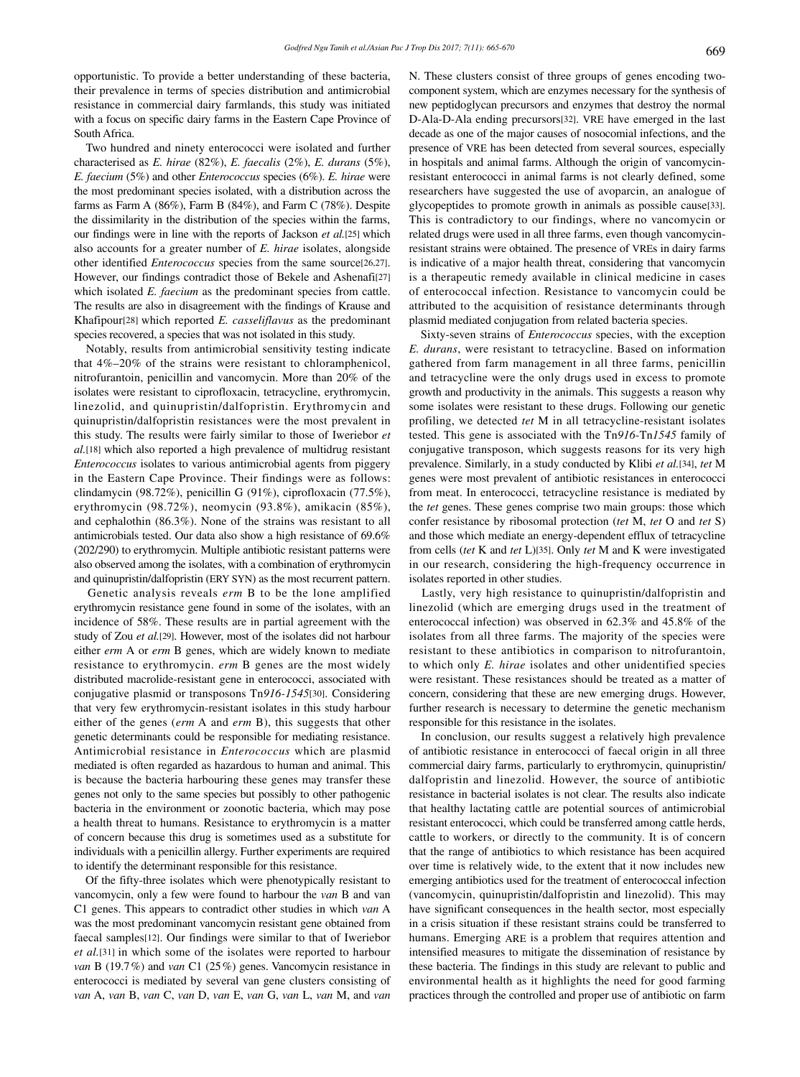opportunistic. To provide a better understanding of these bacteria, their prevalence in terms of species distribution and antimicrobial resistance in commercial dairy farmlands, this study was initiated with a focus on specific dairy farms in the Eastern Cape Province of South Africa.

 Two hundred and ninety enterococci were isolated and further characterised as *E. hirae* (82%), *E. faecalis* (2%), *E. durans* (5%), *E. faecium* (5%) and other *Enterococcus* species (6%). *E. hirae* were the most predominant species isolated, with a distribution across the farms as Farm A (86%), Farm B (84%), and Farm C (78%). Despite the dissimilarity in the distribution of the species within the farms, our findings were in line with the reports of Jackson *et al.*[25] which also accounts for a greater number of *E. hirae* isolates, alongside other identified *Enterococcus* species from the same source[26,27]. However, our findings contradict those of Bekele and Ashenafi[27] which isolated *E. faecium* as the predominant species from cattle. The results are also in disagreement with the findings of Krause and Khafipour[28] which reported *E. casseliflavus* as the predominant species recovered, a species that was not isolated in this study.

 Notably, results from antimicrobial sensitivity testing indicate that 4%–20% of the strains were resistant to chloramphenicol, nitrofurantoin, penicillin and vancomycin. More than 20% of the isolates were resistant to ciprofloxacin, tetracycline, erythromycin, linezolid, and quinupristin/dalfopristin. Erythromycin and quinupristin/dalfopristin resistances were the most prevalent in this study. The results were fairly similar to those of Iweriebor *et al.*[18] which also reported a high prevalence of multidrug resistant *Enterococcus* isolates to various antimicrobial agents from piggery in the Eastern Cape Province. Their findings were as follows: clindamycin (98.72%), penicillin G (91%), ciprofloxacin (77.5%), erythromycin (98.72%), neomycin (93.8%), amikacin (85%), and cephalothin (86.3%). None of the strains was resistant to all antimicrobials tested. Our data also show a high resistance of 69.6% (202/290) to erythromycin. Multiple antibiotic resistant patterns were also observed among the isolates, with a combination of erythromycin and quinupristin/dalfopristin (ERY SYN) as the most recurrent pattern.

 Genetic analysis reveals *erm* B to be the lone amplified erythromycin resistance gene found in some of the isolates, with an incidence of 58%. These results are in partial agreement with the study of Zou *et al.*[29]. However, most of the isolates did not harbour either *erm* A or *erm* B genes, which are widely known to mediate resistance to erythromycin. *erm* B genes are the most widely distributed macrolide-resistant gene in enterococci, associated with conjugative plasmid or transposons Tn*916-1545*[30]. Considering that very few erythromycin-resistant isolates in this study harbour either of the genes (*erm* A and *erm* B), this suggests that other genetic determinants could be responsible for mediating resistance. Antimicrobial resistance in *Enterococcus* which are plasmid mediated is often regarded as hazardous to human and animal. This is because the bacteria harbouring these genes may transfer these genes not only to the same species but possibly to other pathogenic bacteria in the environment or zoonotic bacteria, which may pose a health threat to humans. Resistance to erythromycin is a matter of concern because this drug is sometimes used as a substitute for individuals with a penicillin allergy. Further experiments are required to identify the determinant responsible for this resistance.

 Of the fifty-three isolates which were phenotypically resistant to vancomycin, only a few were found to harbour the *van* B and van C1 genes. This appears to contradict other studies in which *van* A was the most predominant vancomycin resistant gene obtained from faecal samples[12]. Our findings were similar to that of Iweriebor *et al.*[31] in which some of the isolates were reported to harbour *van* B (19.7%) and *van* C1 (25%) genes. Vancomycin resistance in enterococci is mediated by several van gene clusters consisting of *van* A, *van* B, *van* C, *van* D, *van* E, *van* G, *van* L, *van* M, and *van* N. These clusters consist of three groups of genes encoding twocomponent system, which are enzymes necessary for the synthesis of new peptidoglycan precursors and enzymes that destroy the normal D-Ala-D-Ala ending precursors[32]. VRE have emerged in the last decade as one of the major causes of nosocomial infections, and the presence of VRE has been detected from several sources, especially in hospitals and animal farms. Although the origin of vancomycinresistant enterococci in animal farms is not clearly defined, some researchers have suggested the use of avoparcin, an analogue of glycopeptides to promote growth in animals as possible cause[33]. This is contradictory to our findings, where no vancomycin or related drugs were used in all three farms, even though vancomycinresistant strains were obtained. The presence of VREs in dairy farms is indicative of a major health threat, considering that vancomycin is a therapeutic remedy available in clinical medicine in cases of enterococcal infection. Resistance to vancomycin could be attributed to the acquisition of resistance determinants through plasmid mediated conjugation from related bacteria species.

 Sixty-seven strains of *Enterococcus* species, with the exception *E. durans*, were resistant to tetracycline. Based on information gathered from farm management in all three farms, penicillin and tetracycline were the only drugs used in excess to promote growth and productivity in the animals. This suggests a reason why some isolates were resistant to these drugs. Following our genetic profiling, we detected *tet* M in all tetracycline-resistant isolates tested. This gene is associated with the Tn*916*-Tn*1545* family of conjugative transposon, which suggests reasons for its very high prevalence. Similarly, in a study conducted by Klibi *et al.*[34], *tet* M genes were most prevalent of antibiotic resistances in enterococci from meat. In enterococci, tetracycline resistance is mediated by the *tet* genes. These genes comprise two main groups: those which confer resistance by ribosomal protection (*tet* M, *tet* O and *tet* S) and those which mediate an energy-dependent efflux of tetracycline from cells (*tet* K and *tet* L)[35]. Only *tet* M and K were investigated in our research, considering the high-frequency occurrence in isolates reported in other studies.

 Lastly, very high resistance to quinupristin/dalfopristin and linezolid (which are emerging drugs used in the treatment of enterococcal infection) was observed in 62.3% and 45.8% of the isolates from all three farms. The majority of the species were resistant to these antibiotics in comparison to nitrofurantoin, to which only *E. hirae* isolates and other unidentified species were resistant. These resistances should be treated as a matter of concern, considering that these are new emerging drugs. However, further research is necessary to determine the genetic mechanism responsible for this resistance in the isolates.

 In conclusion, our results suggest a relatively high prevalence of antibiotic resistance in enterococci of faecal origin in all three commercial dairy farms, particularly to erythromycin, quinupristin/ dalfopristin and linezolid. However, the source of antibiotic resistance in bacterial isolates is not clear. The results also indicate that healthy lactating cattle are potential sources of antimicrobial resistant enterococci, which could be transferred among cattle herds, cattle to workers, or directly to the community. It is of concern that the range of antibiotics to which resistance has been acquired over time is relatively wide, to the extent that it now includes new emerging antibiotics used for the treatment of enterococcal infection (vancomycin, quinupristin/dalfopristin and linezolid). This may have significant consequences in the health sector, most especially in a crisis situation if these resistant strains could be transferred to humans. Emerging ARE is a problem that requires attention and intensified measures to mitigate the dissemination of resistance by these bacteria. The findings in this study are relevant to public and environmental health as it highlights the need for good farming practices through the controlled and proper use of antibiotic on farm